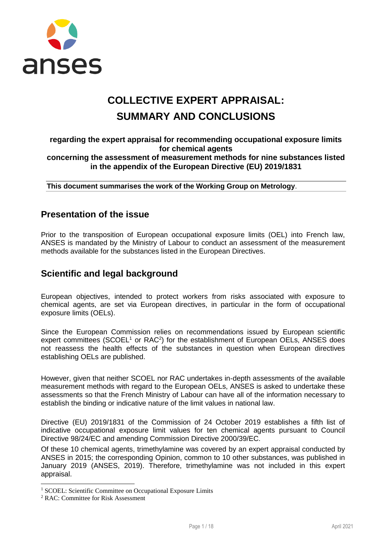

# **COLLECTIVE EXPERT APPRAISAL: SUMMARY AND CONCLUSIONS**

### **regarding the expert appraisal for recommending occupational exposure limits for chemical agents concerning the assessment of measurement methods for nine substances listed in the appendix of the European Directive (EU) 2019/1831**

**This document summarises the work of the Working Group on Metrology**.

## **Presentation of the issue**

Prior to the transposition of European occupational exposure limits (OEL) into French law, ANSES is mandated by the Ministry of Labour to conduct an assessment of the measurement methods available for the substances listed in the European Directives.

# **Scientific and legal background**

European objectives, intended to protect workers from risks associated with exposure to chemical agents, are set via European directives, in particular in the form of occupational exposure limits (OELs).

Since the European Commission relies on recommendations issued by European scientific expert committees (SCOEL $1$  or RAC $2$ ) for the establishment of European OELs, ANSES does not reassess the health effects of the substances in question when European directives establishing OELs are published.

However, given that neither SCOEL nor RAC undertakes in-depth assessments of the available measurement methods with regard to the European OELs, ANSES is asked to undertake these assessments so that the French Ministry of Labour can have all of the information necessary to establish the binding or indicative nature of the limit values in national law.

Directive (EU) 2019/1831 of the Commission of 24 October 2019 establishes a fifth list of indicative occupational exposure limit values for ten chemical agents pursuant to Council Directive 98/24/EC and amending Commission Directive 2000/39/EC.

Of these 10 chemical agents, trimethylamine was covered by an expert appraisal conducted by ANSES in 2015; the corresponding Opinion, common to 10 other substances, was published in January 2019 (ANSES, 2019). Therefore, trimethylamine was not included in this expert appraisal.

-

<sup>&</sup>lt;sup>1</sup> SCOEL: Scientific Committee on Occupational Exposure Limits

<sup>2</sup> RAC: Committee for Risk Assessment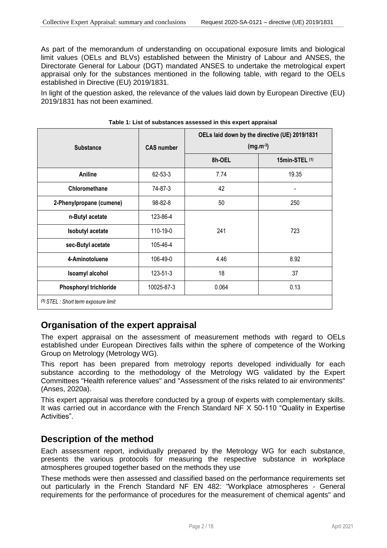As part of the memorandum of understanding on occupational exposure limits and biological limit values (OELs and BLVs) established between the Ministry of Labour and ANSES, the Directorate General for Labour (DGT) mandated ANSES to undertake the metrological expert appraisal only for the substances mentioned in the following table, with regard to the OELs established in Directive (EU) 2019/1831.

In light of the question asked, the relevance of the values laid down by European Directive (EU) 2019/1831 has not been examined.

| <b>Substance</b>                     | <b>CAS number</b> | OELs laid down by the directive (UE) 2019/1831 | $(mg.m^{-3})$  |  |  |  |  |
|--------------------------------------|-------------------|------------------------------------------------|----------------|--|--|--|--|
|                                      |                   | 8h-OEL                                         | 15min-STEL (1) |  |  |  |  |
| Aniline                              | 62-53-3           | 7.74                                           | 19.35          |  |  |  |  |
| Chloromethane                        | 74-87-3           | 42                                             |                |  |  |  |  |
| 2-Phenylpropane (cumene)             | 98-82-8           | 50                                             | 250            |  |  |  |  |
| n-Butyl acetate                      | 123-86-4          |                                                |                |  |  |  |  |
| <b>Isobutyl acetate</b>              | 110-19-0          | 241                                            | 723            |  |  |  |  |
| sec-Butyl acetate                    | 105-46-4          |                                                |                |  |  |  |  |
| 4-Aminotoluene                       | 106-49-0          | 4.46                                           | 8.92           |  |  |  |  |
| Isoamyl alcohol                      | $123 - 51 - 3$    | 18                                             | 37             |  |  |  |  |
| <b>Phosphoryl trichloride</b>        | 10025-87-3        | 0.064                                          | 0.13           |  |  |  |  |
| (1) STEL : Short term exposure limit |                   |                                                |                |  |  |  |  |

## **Organisation of the expert appraisal**

The expert appraisal on the assessment of measurement methods with regard to OELs established under European Directives falls within the sphere of competence of the Working Group on Metrology (Metrology WG).

This report has been prepared from metrology reports developed individually for each substance according to the methodology of the Metrology WG validated by the Expert Committees "Health reference values" and "Assessment of the risks related to air environments" (Anses, 2020a).

This expert appraisal was therefore conducted by a group of experts with complementary skills. It was carried out in accordance with the French Standard NF X 50-110 "Quality in Expertise Activities".

## **Description of the method**

Each assessment report, individually prepared by the Metrology WG for each substance, presents the various protocols for measuring the respective substance in workplace atmospheres grouped together based on the methods they use

These methods were then assessed and classified based on the performance requirements set out particularly in the French Standard NF EN 482: "Workplace atmospheres - General requirements for the performance of procedures for the measurement of chemical agents" and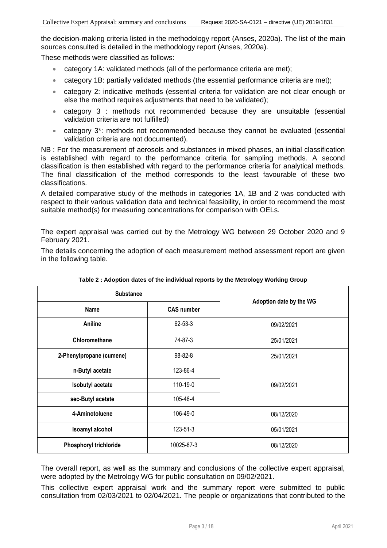the decision-making criteria listed in the methodology report (Anses, 2020a). The list of the main sources consulted is detailed in the methodology report (Anses, 2020a).

These methods were classified as follows:

- category 1A: validated methods (all of the performance criteria are met);
- category 1B: partially validated methods (the essential performance criteria are met);
- category 2: indicative methods (essential criteria for validation are not clear enough or else the method requires adjustments that need to be validated);
- category 3 : methods not recommended because they are unsuitable (essential validation criteria are not fulfilled)
- category 3\*: methods not recommended because they cannot be evaluated (essential validation criteria are not documented).

NB : For the measurement of aerosols and substances in mixed phases, an initial classification is established with regard to the performance criteria for sampling methods. A second classification is then established with regard to the performance criteria for analytical methods. The final classification of the method corresponds to the least favourable of these two classifications.

A detailed comparative study of the methods in categories 1A, 1B and 2 was conducted with respect to their various validation data and technical feasibility, in order to recommend the most suitable method(s) for measuring concentrations for comparison with OELs.

The expert appraisal was carried out by the Metrology WG between 29 October 2020 and 9 February 2021.

The details concerning the adoption of each measurement method assessment report are given in the following table.

| <b>Substance</b>              |                        |                         |  |
|-------------------------------|------------------------|-------------------------|--|
| Name                          | <b>CAS number</b>      | Adoption date by the WG |  |
| Aniline                       | 62-53-3                | 09/02/2021              |  |
| Chloromethane                 | 74-87-3                | 25/01/2021              |  |
| 2-Phenylpropane (cumene)      | $98 - 82 - 8$          | 25/01/2021              |  |
| n-Butyl acetate               | 123-86-4               |                         |  |
| <b>Isobutyl acetate</b>       | 110-19-0               | 09/02/2021              |  |
| sec-Butyl acetate             | 105-46-4               |                         |  |
| 4-Aminotoluene                | 106-49-0               | 08/12/2020              |  |
| Isoamyl alcohol               | 123-51-3<br>05/01/2021 |                         |  |
| <b>Phosphoryl trichloride</b> | 10025-87-3             | 08/12/2020              |  |

| Table 2: Adoption dates of the individual reports by the Metrology Working Group |  |  |  |
|----------------------------------------------------------------------------------|--|--|--|
|                                                                                  |  |  |  |

The overall report, as well as the summary and conclusions of the collective expert appraisal, were adopted by the Metrology WG for public consultation on 09/02/2021.

This collective expert appraisal work and the summary report were submitted to public consultation from 02/03/2021 to 02/04/2021. The people or organizations that contributed to the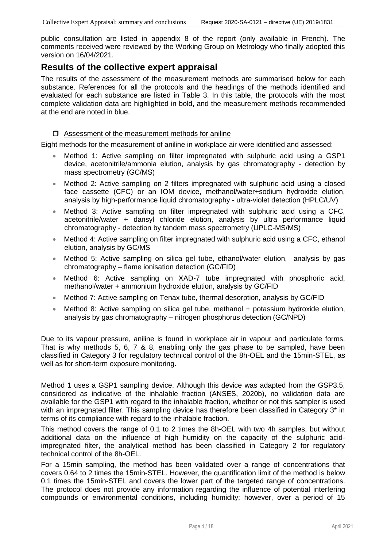public consultation are listed in appendix 8 of the report (only available in French). The comments received were reviewed by the Working Group on Metrology who finally adopted this version on 16/04/2021.

### **Results of the collective expert appraisal**

The results of the assessment of the measurement methods are summarised below for each substance. References for all the protocols and the headings of the methods identified and evaluated for each substance are listed in Table 3. In this table, the protocols with the most complete validation data are highlighted in bold, and the measurement methods recommended at the end are noted in blue.

#### $\Box$  Assessment of the measurement methods for aniline

Eight methods for the measurement of aniline in workplace air were identified and assessed:

- Method 1: Active sampling on filter impregnated with sulphuric acid using a GSP1 device, acetonitrile/ammonia elution, analysis by gas chromatography - detection by mass spectrometry (GC/MS)
- Method 2: Active sampling on 2 filters impregnated with sulphuric acid using a closed face cassette (CFC) or an IOM device, methanol/water+sodium hydroxide elution, analysis by high-performance liquid chromatography - ultra-violet detection (HPLC/UV)
- Method 3: Active sampling on filter impregnated with sulphuric acid using a CFC, acetonitrile/water + dansyl chloride elution, analysis by ultra performance liquid chromatography - detection by tandem mass spectrometry (UPLC-MS/MS)
- Method 4: Active sampling on filter impregnated with sulphuric acid using a CFC, ethanol elution, analysis by GC/MS
- Method 5: Active sampling on silica gel tube, ethanol/water elution, analysis by gas chromatography – flame ionisation detection (GC/FID)
- Method 6: Active sampling on XAD-7 tube impregnated with phosphoric acid, methanol/water + ammonium hydroxide elution, analysis by GC/FID
- Method 7: Active sampling on Tenax tube, thermal desorption, analysis by GC/FID
- Method 8: Active sampling on silica gel tube, methanol + potassium hydroxide elution, analysis by gas chromatography – nitrogen phosphorus detection (GC/NPD)

Due to its vapour pressure, aniline is found in workplace air in vapour and particulate forms. That is why methods 5, 6, 7 & 8, enabling only the gas phase to be sampled, have been classified in Category 3 for regulatory technical control of the 8h-OEL and the 15min-STEL, as well as for short-term exposure monitoring.

Method 1 uses a GSP1 sampling device. Although this device was adapted from the GSP3.5, considered as indicative of the inhalable fraction (ANSES, 2020b), no validation data are available for the GSP1 with regard to the inhalable fraction, whether or not this sampler is used with an impregnated filter. This sampling device has therefore been classified in Category 3<sup>\*</sup> in terms of its compliance with regard to the inhalable fraction.

This method covers the range of 0.1 to 2 times the 8h-OEL with two 4h samples, but without additional data on the influence of high humidity on the capacity of the sulphuric acidimpregnated filter, the analytical method has been classified in Category 2 for regulatory technical control of the 8h-OEL.

For a 15min sampling, the method has been validated over a range of concentrations that covers 0.64 to 2 times the 15min-STEL. However, the quantification limit of the method is below 0.1 times the 15min-STEL and covers the lower part of the targeted range of concentrations. The protocol does not provide any information regarding the influence of potential interfering compounds or environmental conditions, including humidity; however, over a period of 15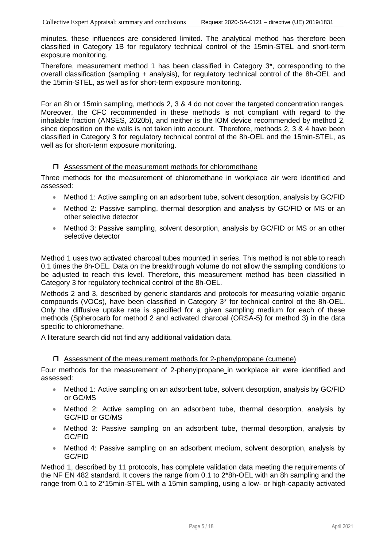minutes, these influences are considered limited. The analytical method has therefore been classified in Category 1B for regulatory technical control of the 15min-STEL and short-term exposure monitoring.

Therefore, measurement method 1 has been classified in Category 3\*, corresponding to the overall classification (sampling + analysis), for regulatory technical control of the 8h-OEL and the 15min-STEL, as well as for short-term exposure monitoring.

For an 8h or 15min sampling, methods 2, 3 & 4 do not cover the targeted concentration ranges. Moreover, the CFC recommended in these methods is not compliant with regard to the inhalable fraction (ANSES, 2020b), and neither is the IOM device recommended by method 2, since deposition on the walls is not taken into account. Therefore, methods 2, 3 & 4 have been classified in Category 3 for regulatory technical control of the 8h-OEL and the 15min-STEL, as well as for short-term exposure monitoring.

#### $\Box$  Assessment of the measurement methods for chloromethane

Three methods for the measurement of chloromethane in workplace air were identified and assessed:

- Method 1: Active sampling on an adsorbent tube, solvent desorption, analysis by GC/FID
- Method 2: Passive sampling, thermal desorption and analysis by GC/FID or MS or an other selective detector
- Method 3: Passive sampling, solvent desorption, analysis by GC/FID or MS or an other selective detector

Method 1 uses two activated charcoal tubes mounted in series. This method is not able to reach 0.1 times the 8h-OEL. Data on the breakthrough volume do not allow the sampling conditions to be adjusted to reach this level. Therefore, this measurement method has been classified in Category 3 for regulatory technical control of the 8h-OEL.

Methods 2 and 3, described by generic standards and protocols for measuring volatile organic compounds (VOCs), have been classified in Category 3\* for technical control of the 8h-OEL. Only the diffusive uptake rate is specified for a given sampling medium for each of these methods (Spherocarb for method 2 and activated charcoal (ORSA-5) for method 3) in the data specific to chloromethane.

A literature search did not find any additional validation data.

#### $\Box$  Assessment of the measurement methods for 2-phenylpropane (cumene)

Four methods for the measurement of 2-phenylpropane in workplace air were identified and assessed:

- Method 1: Active sampling on an adsorbent tube, solvent desorption, analysis by GC/FID or GC/MS
- Method 2: Active sampling on an adsorbent tube, thermal desorption, analysis by GC/FID or GC/MS
- Method 3: Passive sampling on an adsorbent tube, thermal desorption, analysis by GC/FID
- Method 4: Passive sampling on an adsorbent medium, solvent desorption, analysis by GC/FID

Method 1, described by 11 protocols, has complete validation data meeting the requirements of the NF EN 482 standard. It covers the range from 0.1 to 2\*8h-OEL with an 8h sampling and the range from 0.1 to 2\*15min-STEL with a 15min sampling, using a low- or high-capacity activated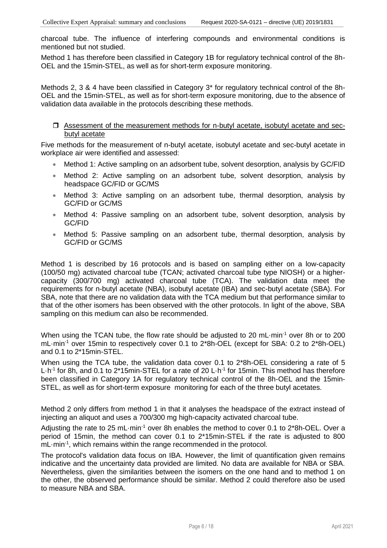charcoal tube. The influence of interfering compounds and environmental conditions is mentioned but not studied.

Method 1 has therefore been classified in Category 1B for regulatory technical control of the 8h-OEL and the 15min-STEL, as well as for short-term exposure monitoring.

Methods 2, 3 & 4 have been classified in Category 3\* for regulatory technical control of the 8h-OEL and the 15min-STEL, as well as for short-term exposure monitoring, due to the absence of validation data available in the protocols describing these methods.

#### Assessment of the measurement methods for n-butyl acetate, isobutyl acetate and secbutyl acetate

Five methods for the measurement of n-butyl acetate, isobutyl acetate and sec-butyl acetate in workplace air were identified and assessed:

- Method 1: Active sampling on an adsorbent tube, solvent desorption, analysis by GC/FID
- Method 2: Active sampling on an adsorbent tube, solvent desorption, analysis by headspace GC/FID or GC/MS
- Method 3: Active sampling on an adsorbent tube, thermal desorption, analysis by GC/FID or GC/MS
- Method 4: Passive sampling on an adsorbent tube, solvent desorption, analysis by GC/FID
- Method 5: Passive sampling on an adsorbent tube, thermal desorption, analysis by GC/FID or GC/MS

Method 1 is described by 16 protocols and is based on sampling either on a low-capacity (100/50 mg) activated charcoal tube (TCAN; activated charcoal tube type NIOSH) or a highercapacity (300/700 mg) activated charcoal tube (TCA). The validation data meet the requirements for n-butyl acetate (NBA), isobutyl acetate (IBA) and sec-butyl acetate (SBA). For SBA, note that there are no validation data with the TCA medium but that performance similar to that of the other isomers has been observed with the other protocols. In light of the above, SBA sampling on this medium can also be recommended.

When using the TCAN tube, the flow rate should be adjusted to 20 mL min<sup>-1</sup> over 8h or to 200 mL·min-1 over 15min to respectively cover 0.1 to 2\*8h-OEL (except for SBA: 0.2 to 2\*8h-OEL) and 0.1 to 2\*15min-STEL.

When using the TCA tube, the validation data cover 0.1 to 2\*8h-OEL considering a rate of 5 L·h<sup>-1</sup> for 8h, and 0.1 to 2\*15min-STEL for a rate of 20 L·h<sup>-1</sup> for 15min. This method has therefore been classified in Category 1A for regulatory technical control of the 8h-OEL and the 15min-STEL, as well as for short-term exposure monitoring for each of the three butyl acetates.

Method 2 only differs from method 1 in that it analyses the headspace of the extract instead of injecting an aliquot and uses a 700/300 mg high-capacity activated charcoal tube.

Adjusting the rate to 25 mL·min<sup>-1</sup> over 8h enables the method to cover 0.1 to 2\*8h-OEL. Over a period of 15min, the method can cover 0.1 to 2\*15min-STEL if the rate is adjusted to 800 mL·min<sup>-1</sup>, which remains within the range recommended in the protocol.

The protocol's validation data focus on IBA. However, the limit of quantification given remains indicative and the uncertainty data provided are limited. No data are available for NBA or SBA. Nevertheless, given the similarities between the isomers on the one hand and to method 1 on the other, the observed performance should be similar. Method 2 could therefore also be used to measure NBA and SBA.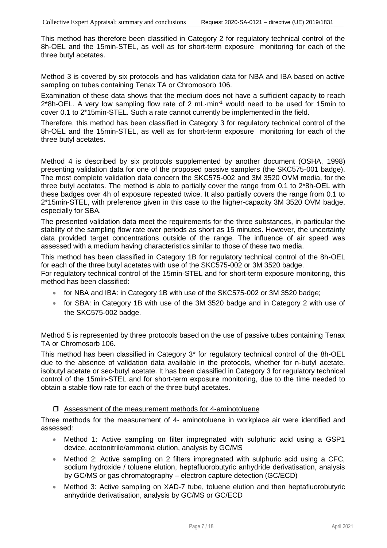This method has therefore been classified in Category 2 for regulatory technical control of the 8h-OEL and the 15min-STEL, as well as for short-term exposure monitoring for each of the three butyl acetates.

Method 3 is covered by six protocols and has validation data for NBA and IBA based on active sampling on tubes containing Tenax TA or Chromosorb 106.

Examination of these data shows that the medium does not have a sufficient capacity to reach 2\*8h-OEL. A very low sampling flow rate of 2 mL·min<sup>-1</sup> would need to be used for 15min to cover 0.1 to 2\*15min-STEL. Such a rate cannot currently be implemented in the field.

Therefore, this method has been classified in Category 3 for regulatory technical control of the 8h-OEL and the 15min-STEL, as well as for short-term exposure monitoring for each of the three butyl acetates.

Method 4 is described by six protocols supplemented by another document (OSHA, 1998) presenting validation data for one of the proposed passive samplers (the SKC575-001 badge). The most complete validation data concern the SKC575-002 and 3M 3520 OVM media, for the three butyl acetates. The method is able to partially cover the range from 0.1 to 2\*8h-OEL with these badges over 4h of exposure repeated twice. It also partially covers the range from 0.1 to 2\*15min-STEL, with preference given in this case to the higher-capacity 3M 3520 OVM badge, especially for SBA.

The presented validation data meet the requirements for the three substances, in particular the stability of the sampling flow rate over periods as short as 15 minutes. However, the uncertainty data provided target concentrations outside of the range. The influence of air speed was assessed with a medium having characteristics similar to those of these two media.

This method has been classified in Category 1B for regulatory technical control of the 8h-OEL for each of the three butyl acetates with use of the SKC575-002 or 3M 3520 badge.

For regulatory technical control of the 15min-STEL and for short-term exposure monitoring, this method has been classified:

- for NBA and IBA: in Category 1B with use of the SKC575-002 or 3M 3520 badge;
- for SBA: in Category 1B with use of the 3M 3520 badge and in Category 2 with use of the SKC575-002 badge.

Method 5 is represented by three protocols based on the use of passive tubes containing Tenax TA or Chromosorb 106.

This method has been classified in Category 3\* for regulatory technical control of the 8h-OEL due to the absence of validation data available in the protocols, whether for n-butyl acetate, isobutyl acetate or sec-butyl acetate. It has been classified in Category 3 for regulatory technical control of the 15min-STEL and for short-term exposure monitoring, due to the time needed to obtain a stable flow rate for each of the three butyl acetates.

#### $\Box$  Assessment of the measurement methods for 4-aminotoluene

Three methods for the measurement of 4- aminotoluene in workplace air were identified and assessed:

- Method 1: Active sampling on filter impregnated with sulphuric acid using a GSP1 device, acetonitrile/ammonia elution, analysis by GC/MS
- Method 2: Active sampling on 2 filters impregnated with sulphuric acid using a CFC, sodium hydroxide / toluene elution, heptafluorobutyric anhydride derivatisation, analysis by GC/MS or gas chromatography – electron capture detection (GC/ECD)
- Method 3: Active sampling on XAD-7 tube, toluene elution and then heptafluorobutyric anhydride derivatisation, analysis by GC/MS or GC/ECD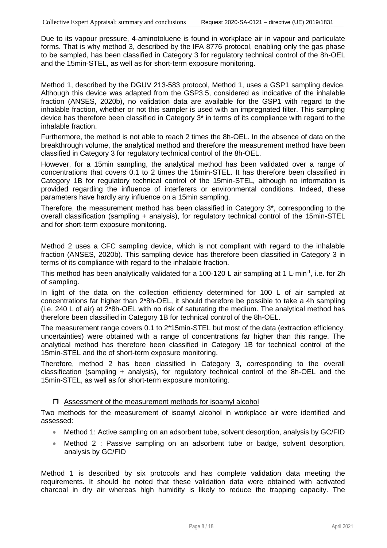Due to its vapour pressure, 4-aminotoluene is found in workplace air in vapour and particulate forms. That is why method 3, described by the IFA 8776 protocol, enabling only the gas phase to be sampled, has been classified in Category 3 for regulatory technical control of the 8h-OEL and the 15min-STEL, as well as for short-term exposure monitoring.

Method 1, described by the DGUV 213-583 protocol, Method 1, uses a GSP1 sampling device. Although this device was adapted from the GSP3.5, considered as indicative of the inhalable fraction (ANSES, 2020b), no validation data are available for the GSP1 with regard to the inhalable fraction, whether or not this sampler is used with an impregnated filter. This sampling device has therefore been classified in Category 3\* in terms of its compliance with regard to the inhalable fraction.

Furthermore, the method is not able to reach 2 times the 8h-OEL. In the absence of data on the breakthrough volume, the analytical method and therefore the measurement method have been classified in Category 3 for regulatory technical control of the 8h-OEL.

However, for a 15min sampling, the analytical method has been validated over a range of concentrations that covers 0.1 to 2 times the 15min-STEL. It has therefore been classified in Category 1B for regulatory technical control of the 15min-STEL, although no information is provided regarding the influence of interferers or environmental conditions. Indeed, these parameters have hardly any influence on a 15min sampling.

Therefore, the measurement method has been classified in Category 3\*, corresponding to the overall classification (sampling + analysis), for regulatory technical control of the 15min-STEL and for short-term exposure monitoring.

Method 2 uses a CFC sampling device, which is not compliant with regard to the inhalable fraction (ANSES, 2020b). This sampling device has therefore been classified in Category 3 in terms of its compliance with regard to the inhalable fraction.

This method has been analytically validated for a 100-120 L air sampling at 1 L $\cdot$ min<sup>-1</sup>, i.e. for 2h of sampling.

In light of the data on the collection efficiency determined for 100 L of air sampled at concentrations far higher than 2\*8h-OEL, it should therefore be possible to take a 4h sampling (i.e. 240 L of air) at 2\*8h-OEL with no risk of saturating the medium. The analytical method has therefore been classified in Category 1B for technical control of the 8h-OEL.

The measurement range covers 0.1 to 2\*15min-STEL but most of the data (extraction efficiency, uncertainties) were obtained with a range of concentrations far higher than this range. The analytical method has therefore been classified in Category 1B for technical control of the 15min-STEL and the of short-term exposure monitoring.

Therefore, method 2 has been classified in Category 3, corresponding to the overall classification (sampling + analysis), for regulatory technical control of the 8h-OEL and the 15min-STEL, as well as for short-term exposure monitoring.

#### □ Assessment of the measurement methods for isoamyl alcohol

Two methods for the measurement of isoamyl alcohol in workplace air were identified and assessed:

- Method 1: Active sampling on an adsorbent tube, solvent desorption, analysis by GC/FID
- Method 2 : Passive sampling on an adsorbent tube or badge, solvent desorption, analysis by GC/FID

Method 1 is described by six protocols and has complete validation data meeting the requirements. It should be noted that these validation data were obtained with activated charcoal in dry air whereas high humidity is likely to reduce the trapping capacity. The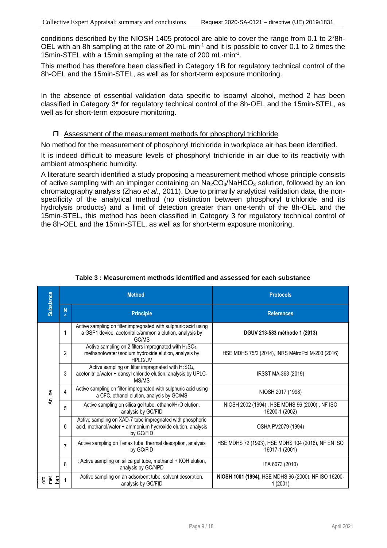conditions described by the NIOSH 1405 protocol are able to cover the range from 0.1 to 2\*8h-OEL with an 8h sampling at the rate of 20 mL min<sup>-1</sup> and it is possible to cover 0.1 to 2 times the 15min-STEL with a 15min sampling at the rate of 200 mL·min-1 .

This method has therefore been classified in Category 1B for regulatory technical control of the 8h-OEL and the 15min-STEL, as well as for short-term exposure monitoring.

In the absence of essential validation data specific to isoamyl alcohol, method 2 has been classified in Category 3\* for regulatory technical control of the 8h-OEL and the 15min-STEL, as well as for short-term exposure monitoring.

#### $\Box$  Assessment of the measurement methods for phosphoryl trichloride

No method for the measurement of phosphoryl trichloride in workplace air has been identified.

It is indeed difficult to measure levels of phosphoryl trichloride in air due to its reactivity with ambient atmospheric humidity.

A literature search identified a study proposing a measurement method whose principle consists of active sampling with an impinger containing an  $Na<sub>2</sub>CO<sub>3</sub>/NaHCO<sub>3</sub>$  solution, followed by an ion chromatography analysis (Zhao *et al*., 2011). Due to primarily analytical validation data, the nonspecificity of the analytical method (no distinction between phosphoryl trichloride and its hydrolysis products) and a limit of detection greater than one-tenth of the 8h-OEL and the 15min-STEL, this method has been classified in Category 3 for regulatory technical control of the 8h-OEL and the 15min-STEL, as well as for short-term exposure monitoring.

| <b>Substance</b>     |                                                                                                                                                                                                                                                                                   | <b>Method</b>                                                                                                                                      | <b>Protocols</b>                                                     |  |  |  |
|----------------------|-----------------------------------------------------------------------------------------------------------------------------------------------------------------------------------------------------------------------------------------------------------------------------------|----------------------------------------------------------------------------------------------------------------------------------------------------|----------------------------------------------------------------------|--|--|--|
|                      | N<br>$\alpha$                                                                                                                                                                                                                                                                     | <b>Principle</b>                                                                                                                                   | <b>References</b>                                                    |  |  |  |
|                      | 1                                                                                                                                                                                                                                                                                 | Active sampling on filter impregnated with sulphuric acid using<br>a GSP1 device, acetonitrile/ammonia elution, analysis by<br>GC/MS               | DGUV 213-583 méthode 1 (2013)                                        |  |  |  |
|                      | $\overline{2}$                                                                                                                                                                                                                                                                    | Active sampling on 2 filters impregnated with H <sub>2</sub> SO <sub>4</sub> ,<br>methanol/water+sodium hydroxide elution, analysis by<br>HPI C/UV | HSE MDHS 75/2 (2014), INRS MétroPol M-203 (2016)                     |  |  |  |
|                      | Active sampling on filter impregnated with H2SO <sub>4</sub> ,<br>3<br>acetonitrile/water + dansyl chloride elution, analysis by UPLC-<br>MS/MS<br>Active sampling on filter impregnated with sulphuric acid using<br>$\overline{4}$<br>a CFC, ethanol elution, analysis by GC/MS |                                                                                                                                                    | IRSST MA-363 (2019)                                                  |  |  |  |
| Aniline              |                                                                                                                                                                                                                                                                                   |                                                                                                                                                    | NIOSH 2017 (1998)                                                    |  |  |  |
|                      | 5                                                                                                                                                                                                                                                                                 | Active sampling on silica gel tube, ethanol/H <sub>2</sub> O elution,<br>analysis by GC/FID                                                        | NIOSH 2002 (1994), HSE MDHS 96 (2000), NF ISO<br>16200-1 (2002)      |  |  |  |
|                      | 6                                                                                                                                                                                                                                                                                 | Active sampling on XAD-7 tube impregnated with phosphoric<br>acid, methanol/water + ammonium hydroxide elution, analysis<br>by GC/FID              | OSHA PV2079 (1994)                                                   |  |  |  |
|                      | $\overline{7}$                                                                                                                                                                                                                                                                    | Active sampling on Tenax tube, thermal desorption, analysis<br>by GC/FID                                                                           | HSE MDHS 72 (1993), HSE MDHS 104 (2016), NF EN ISO<br>16017-1 (2001) |  |  |  |
|                      | 8                                                                                                                                                                                                                                                                                 | : Active sampling on silica gel tube, methanol + KOH elution,<br>analysis by GC/NPD                                                                | IFA 6073 (2010)                                                      |  |  |  |
| e para<br><u>ັງສ</u> | 1                                                                                                                                                                                                                                                                                 | Active sampling on an adsorbent tube, solvent desorption,<br>analysis by GC/FID                                                                    | NIOSH 1001 (1994), HSE MDHS 96 (2000), NF ISO 16200-<br>1(2001)      |  |  |  |

#### **Table 3 : Measurement methods identified and assessed for each substance**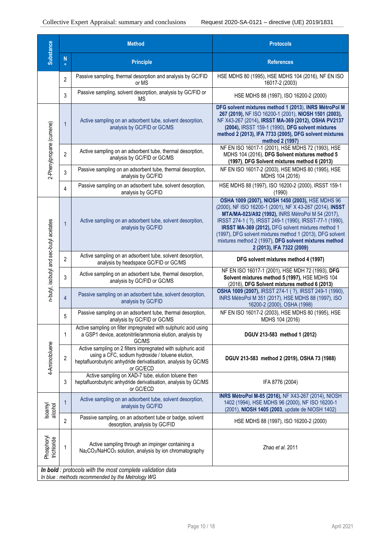| <b>Substance</b>                         |                | <b>Method</b>                                                                                                                                                                                   | <b>Protocols</b>                                                                                                                                                                                                                                                                                                                                                                                                                      |  |  |  |
|------------------------------------------|----------------|-------------------------------------------------------------------------------------------------------------------------------------------------------------------------------------------------|---------------------------------------------------------------------------------------------------------------------------------------------------------------------------------------------------------------------------------------------------------------------------------------------------------------------------------------------------------------------------------------------------------------------------------------|--|--|--|
|                                          | N<br>$\circ$   | <b>Principle</b>                                                                                                                                                                                | <b>References</b>                                                                                                                                                                                                                                                                                                                                                                                                                     |  |  |  |
|                                          | $\overline{2}$ | Passive sampling, thermal desorption and analysis by GC/FID<br>or MS                                                                                                                            | HSE MDHS 80 (1995), HSE MDHS 104 (2016), NF EN ISO<br>16017-2 (2003)                                                                                                                                                                                                                                                                                                                                                                  |  |  |  |
|                                          | 3              | Passive sampling, solvent desorption, analysis by GC/FID or<br>ΜS                                                                                                                               | HSE MDHS 88 (1997), ISO 16200-2 (2000)                                                                                                                                                                                                                                                                                                                                                                                                |  |  |  |
| 2-Phenylpropane (cumene)                 | $\overline{1}$ | Active sampling on an adsorbent tube, solvent desorption,<br>analysis by GC/FID or GC/MS                                                                                                        | DFG solvent mixtures method 1 (2013), INRS MétroPol M<br>267 (2019), NF ISO 16200-1 (2001), NIOSH 1501 (2003),<br>NF X43-267 (2014), IRSST MA-369 (2012), OSHA PV2137<br>(2004), IRSST 159-1 (1990), DFG solvent mixtures<br>method 2 (2013), IFA 7733 (2005), DFG solvent mixtures<br>method 2 (1997)                                                                                                                                |  |  |  |
|                                          | $\overline{2}$ | Active sampling on an adsorbent tube, thermal desorption,<br>analysis by GC/FID or GC/MS                                                                                                        | NF EN ISO 16017-1 (2001), HSE MDHS 72 (1993), HSE<br>MDHS 104 (2016), DFG Solvent mixtures method 5<br>(1997), DFG Solvent mixtures method 6 (2013)                                                                                                                                                                                                                                                                                   |  |  |  |
|                                          | 3              | Passive sampling on an adsorbent tube, thermal desorption,<br>analysis by GC/FID                                                                                                                | NF EN ISO 16017-2 (2003), HSE MDHS 80 (1995), HSE<br>MDHS 104 (2016)                                                                                                                                                                                                                                                                                                                                                                  |  |  |  |
|                                          | 4              | Passive sampling on an adsorbent tube, solvent desorption,<br>analysis by GC/FID                                                                                                                | HSE MDHS 88 (1997), ISO 16200-2 (2000), IRSST 159-1<br>(1990)                                                                                                                                                                                                                                                                                                                                                                         |  |  |  |
| n-butyl, isobutyl and sec-butyl acetates | $\mathbf{1}$   | Active sampling on an adsorbent tube, solvent desorption,<br>analysis by GC/FID                                                                                                                 | OSHA 1009 (2007), NIOSH 1450 (2003), HSE MDHS 96<br>(2000), NF ISO 16200-1 (2001), NF X 43-267 (2014), INSST<br>MTA/MA-023/A92 (1992), INRS MétroPol M 54 (2017),<br>IRSST 274-1 (?), IRSST 249-1 (1990), IRSST-77-1 (1990),<br>IRSST MA-369 (2012), DFG solvent mixtures method 1<br>(1997), DFG solvent mixtures method 1 (2013), DFG solvent<br>mixtures method 2 (1997), DFG solvent mixtures method<br>2 (2013), IFA 7322 (2009) |  |  |  |
|                                          | 2              | Active sampling on an adsorbent tube, solvent desorption,<br>analysis by headspace GC/FID or GC/MS                                                                                              | DFG solvent mixtures method 4 (1997)                                                                                                                                                                                                                                                                                                                                                                                                  |  |  |  |
|                                          | 3              | Active sampling on an adsorbent tube, thermal desorption,<br>analysis by GC/FID or GC/MS                                                                                                        | NF EN ISO 16017-1 (2001), HSE MDH 72 (1993), DFG<br>Solvent mixtures method 5 (1997), HSE MDHS 104<br>(2016), DFG Solvent mixtures method 6 (2013)                                                                                                                                                                                                                                                                                    |  |  |  |
|                                          | $\overline{4}$ | Passive sampling on an adsorbent tube, solvent desorption,<br>analysis by GC/FID                                                                                                                | OSHA 1009 (2007), IRSST 274-1 (?), IRSST 249-1 (1990),<br>INRS MétroPol M 351 (2017), HSE MDHS 88 (1997), ISO<br>16200-2 (2000), OSHA (1998)                                                                                                                                                                                                                                                                                          |  |  |  |
|                                          | 5              | Passive sampling on an adsorbent tube, thermal desorption,<br>analysis by GC/FID or GC/MS                                                                                                       | NF EN ISO 16017-2 (2003), HSE MDHS 80 (1995), HSE<br>MDHS 104 (2016)                                                                                                                                                                                                                                                                                                                                                                  |  |  |  |
|                                          | 1              | Active sampling on filter impregnated with sulphuric acid using<br>a GSP1 device, acetonitrile/ammonia elution, analysis by<br>GC/MS                                                            | DGUV 213-583 method 1 (2012)                                                                                                                                                                                                                                                                                                                                                                                                          |  |  |  |
| 4-Aminotoluene                           | $\overline{2}$ | Active sampling on 2 filters impregnated with sulphuric acid<br>using a CFC, sodium hydroxide / toluene elution,<br>heptafluorobutyric anhydride derivatisation, analysis by GC/MS<br>or GC/ECD | DGUV 213-583 method 2 (2019), OSHA 73 (1988)                                                                                                                                                                                                                                                                                                                                                                                          |  |  |  |
|                                          | 3              | Active sampling on XAD-7 tube, elution toluene then<br>heptafluorobutyric anhydride derivatisation, analysis by GC/MS<br>or GC/ECD                                                              | IFA 8776 (2004)                                                                                                                                                                                                                                                                                                                                                                                                                       |  |  |  |
| Isoamyl<br>alcohol                       | 1              | Active sampling on an adsorbent tube, solvent desorption,<br>analysis by GC/FID                                                                                                                 | INRS MétroPol M-85 (2016), NF X43-267 (2014), NIOSH<br>1402 (1994), HSE MDHS 96 (2000), NF ISO 16200-1<br>(2001), NIOSH 1405 (2003, update de NIOSH 1402)                                                                                                                                                                                                                                                                             |  |  |  |
|                                          | $\overline{2}$ | Passive sampling, on an adsorbent tube or badge, solvent<br>desorption, analysis by GC/FID                                                                                                      | HSE MDHS 88 (1997), ISO 16200-2 (2000)                                                                                                                                                                                                                                                                                                                                                                                                |  |  |  |
| Phosphoryl<br>trichloride                | 1              | Active sampling through an impinger containing a<br>Na <sub>2</sub> CO <sub>3</sub> /NaHCO <sub>3</sub> solution, analysis by ion chromatography                                                | Zhao et al. 2011                                                                                                                                                                                                                                                                                                                                                                                                                      |  |  |  |
|                                          |                | In bold : protocols with the most complete validation data<br>In blue: methods recommended by the Metrology WG                                                                                  |                                                                                                                                                                                                                                                                                                                                                                                                                                       |  |  |  |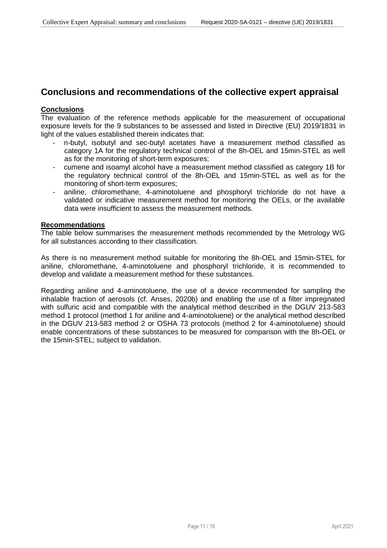### **Conclusions and recommendations of the collective expert appraisal**

#### **Conclusions**

The evaluation of the reference methods applicable for the measurement of occupational exposure levels for the 9 substances to be assessed and listed in Directive (EU) 2019/1831 in light of the values established therein indicates that:

- n-butyl, isobutyl and sec-butyl acetates have a measurement method classified as category 1A for the regulatory technical control of the 8h-OEL and 15min-STEL as well as for the monitoring of short-term exposures;
- cumene and isoamyl alcohol have a measurement method classified as category 1B for the regulatory technical control of the 8h-OEL and 15min-STEL as well as for the monitoring of short-term exposures;
- aniline, chloromethane, 4-aminotoluene and phosphoryl trichloride do not have a validated or indicative measurement method for monitoring the OELs, or the available data were insufficient to assess the measurement methods.

#### **Recommendations**

The table below summarises the measurement methods recommended by the Metrology WG for all substances according to their classification.

As there is no measurement method suitable for monitoring the 8h-OEL and 15min-STEL for aniline, chloromethane, 4-aminotoluene and phosphoryl trichloride, it is recommended to develop and validate a measurement method for these substances.

Regarding aniline and 4-aminotoluene, the use of a device recommended for sampling the inhalable fraction of aerosols (cf. Anses, 2020b) and enabling the use of a filter impregnated with sulfuric acid and compatible with the analytical method described in the DGUV 213-583 method 1 protocol (method 1 for aniline and 4-aminotoluene) or the analytical method described in the DGUV 213-583 method 2 or OSHA 73 protocols (method 2 for 4-aminotoluene) should enable concentrations of these substances to be measured for comparison with the 8h-OEL or the 15min-STEL; subject to validation.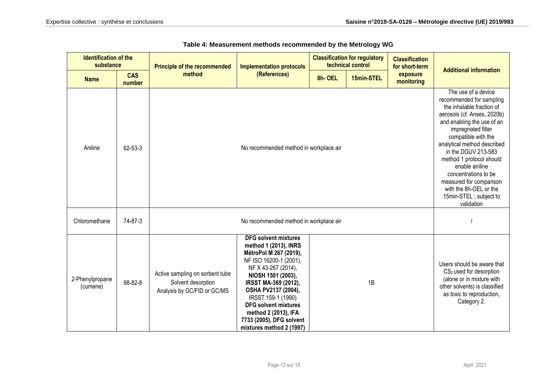| <b>Identification of the</b><br>substance |                      | <b>Principle of the recommended</b>                                                  | <b>Classification for regulatory</b><br>technical control<br><b>Implementation protocols</b>                                                                                                                                                                                                                                              |        | <b>Classification</b><br>for short-term | <b>Additional information</b> |                                                                                                                                                                                                                                                                                                                                                                                                                 |  |
|-------------------------------------------|----------------------|--------------------------------------------------------------------------------------|-------------------------------------------------------------------------------------------------------------------------------------------------------------------------------------------------------------------------------------------------------------------------------------------------------------------------------------------|--------|-----------------------------------------|-------------------------------|-----------------------------------------------------------------------------------------------------------------------------------------------------------------------------------------------------------------------------------------------------------------------------------------------------------------------------------------------------------------------------------------------------------------|--|
| <b>Name</b>                               | <b>CAS</b><br>number | method                                                                               | (References)                                                                                                                                                                                                                                                                                                                              | 8h-OEL | 15min-STEL                              | exposure<br>monitoring        |                                                                                                                                                                                                                                                                                                                                                                                                                 |  |
| Aniline                                   | 62-53-3              |                                                                                      | No recommended method in workplace air                                                                                                                                                                                                                                                                                                    |        |                                         |                               | The use of a device<br>recommended for sampling<br>the inhalable fraction of<br>aerosols (cf. Anses, 2020b)<br>and enabling the use of an<br>impregnated filter<br>compatible with the<br>analytical method described<br>in the DGUV 213-583<br>method 1 protocol should<br>enable aniline<br>concentrations to be<br>measured for comparison<br>with the 8h-OEL or the<br>15min-STEL; subject to<br>validation |  |
| Chloromethane                             | 74-87-3              | No recommended method in workplace air                                               |                                                                                                                                                                                                                                                                                                                                           |        |                                         |                               |                                                                                                                                                                                                                                                                                                                                                                                                                 |  |
| 2-Phenylpropane<br>(cumene)               | 98-82-8              | Active sampling on sorbent tube<br>Solvent desorption<br>Analysis by GC/FID or GC/MS | <b>DFG solvent mixtures</b><br>method 1 (2013), INRS<br>MétroPol M 267 (2019),<br>NF ISO 16200-1 (2001),<br>NF X 43-267 (2014),<br>NIOSH 1501 (2003),<br>IRSST MA-369 (2012),<br>OSHA PV2137 (2004),<br>IRSST 159-1 (1990)<br><b>DFG solvent mixtures</b><br>method 2 (2013), IFA<br>7733 (2005), DFG solvent<br>mixtures method 2 (1997) |        | 1B                                      |                               | Users should be aware that<br>CS <sub>2</sub> used for desorption<br>(alone or in mixture with<br>other solvents) is classified<br>as toxic to reproduction,<br>Category 2.                                                                                                                                                                                                                                     |  |

#### **Table 4: Measurement methods recommended by the Metrology WG**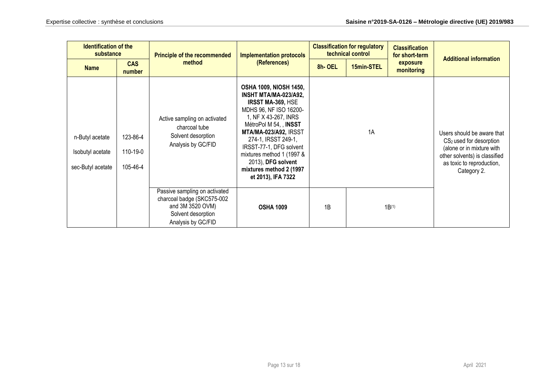| <b>Identification of the</b><br>substance                |                                  | <b>Principle of the recommended</b>                                                                                         | <b>Implementation protocols</b><br>(References)                                                                                                                                                                                                                                                                                             | <b>Classification for regulatory</b><br>technical control |            | <b>Classification</b><br>for short-term |                                                                                                                                                                             |  |  |  | <b>Additional information</b> |
|----------------------------------------------------------|----------------------------------|-----------------------------------------------------------------------------------------------------------------------------|---------------------------------------------------------------------------------------------------------------------------------------------------------------------------------------------------------------------------------------------------------------------------------------------------------------------------------------------|-----------------------------------------------------------|------------|-----------------------------------------|-----------------------------------------------------------------------------------------------------------------------------------------------------------------------------|--|--|--|-------------------------------|
| <b>Name</b>                                              | <b>CAS</b><br>number             | method                                                                                                                      |                                                                                                                                                                                                                                                                                                                                             | 8h-OEL                                                    | 15min-STEL | exposure<br>monitoring                  |                                                                                                                                                                             |  |  |  |                               |
| n-Butyl acetate<br>Isobutyl acetate<br>sec-Butyl acetate | 123-86-4<br>110-19-0<br>105-46-4 | Active sampling on activated<br>charcoal tube<br>Solvent desorption<br>Analysis by GC/FID                                   | <b>OSHA 1009, NIOSH 1450,</b><br>INSHT MTA/MA-023/A92,<br><b>IRSST MA-369, HSE</b><br>MDHS 96, NF ISO 16200-<br>1, NF X 43-267, INRS<br>MétroPol M 54, NNSST<br>MTA/MA-023/A92, IRSST<br>274-1, IRSST 249-1,<br>IRSST-77-1, DFG solvent<br>mixtures method 1 (1997 &<br>2013), DFG solvent<br>mixtures method 2 (1997<br>et 2013), IFA 7322 |                                                           | 1A         |                                         | Users should be aware that<br>CS <sub>2</sub> used for desorption<br>(alone or in mixture with<br>other solvents) is classified<br>as toxic to reproduction,<br>Category 2. |  |  |  |                               |
|                                                          |                                  | Passive sampling on activated<br>charcoal badge (SKC575-002<br>and 3M 3520 OVM)<br>Solvent desorption<br>Analysis by GC/FID | <b>OSHA 1009</b>                                                                                                                                                                                                                                                                                                                            | 1B                                                        |            | $1B^{(1)}$                              |                                                                                                                                                                             |  |  |  |                               |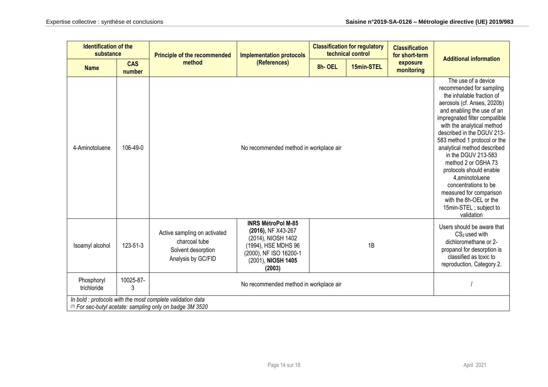|                           | <b>Identification of the</b><br><b>Classification for regulatory</b><br>substance<br>technical control<br><b>Principle of the recommended</b><br><b>Implementation protocols</b> |                                                                                                                           |                                                                                                                                                        | <b>Classification</b><br>for short-term |            |                        |                                                                                                                                                                                                                                                                                                                                                                                                                                                                                                                        |
|---------------------------|----------------------------------------------------------------------------------------------------------------------------------------------------------------------------------|---------------------------------------------------------------------------------------------------------------------------|--------------------------------------------------------------------------------------------------------------------------------------------------------|-----------------------------------------|------------|------------------------|------------------------------------------------------------------------------------------------------------------------------------------------------------------------------------------------------------------------------------------------------------------------------------------------------------------------------------------------------------------------------------------------------------------------------------------------------------------------------------------------------------------------|
| <b>Name</b>               | <b>CAS</b><br>number                                                                                                                                                             | method                                                                                                                    | (References)                                                                                                                                           | 8h-OEL                                  | 15min-STEL | exposure<br>monitoring | <b>Additional information</b>                                                                                                                                                                                                                                                                                                                                                                                                                                                                                          |
| 4-Aminotoluene            | 106-49-0                                                                                                                                                                         |                                                                                                                           | No recommended method in workplace air                                                                                                                 |                                         |            |                        | The use of a device<br>recommended for sampling<br>the inhalable fraction of<br>aerosols (cf. Anses, 2020b)<br>and enabling the use of an<br>impregnated filter compatible<br>with the analytical method<br>described in the DGUV 213-<br>583 method 1 protocol or the<br>analytical method described<br>in the DGUV 213-583<br>method 2 or OSHA 73<br>protocols should enable<br>4, aminotoluene<br>concentrations to be<br>measured for comparison<br>with the 8h-OEL or the<br>15min-STEL; subject to<br>validation |
| Isoamyl alcohol           | 123-51-3                                                                                                                                                                         | Active sampling on activated<br>charcoal tube<br>Solvent desorption<br>Analysis by GC/FID                                 | <b>INRS MétroPol M-85</b><br>(2016), NF X43-267<br>(2014), NIOSH 1402<br>(1994), HSE MDHS 96<br>(2000), NF ISO 16200-1<br>(2001), NIOSH 1405<br>(2003) |                                         | 1B         |                        | Users should be aware that<br>CS <sub>2</sub> used with<br>dichloromethane or 2-<br>propanol for desorption is<br>classified as toxic to<br>reproduction, Category 2.                                                                                                                                                                                                                                                                                                                                                  |
| Phosphoryl<br>trichloride | 10025-87-<br>3                                                                                                                                                                   | No recommended method in workplace air                                                                                    |                                                                                                                                                        |                                         |            |                        |                                                                                                                                                                                                                                                                                                                                                                                                                                                                                                                        |
|                           |                                                                                                                                                                                  | In bold : protocols with the most complete validation data<br>$(1)$ For sec-butyl acetate: sampling only on badge 3M 3520 |                                                                                                                                                        |                                         |            |                        |                                                                                                                                                                                                                                                                                                                                                                                                                                                                                                                        |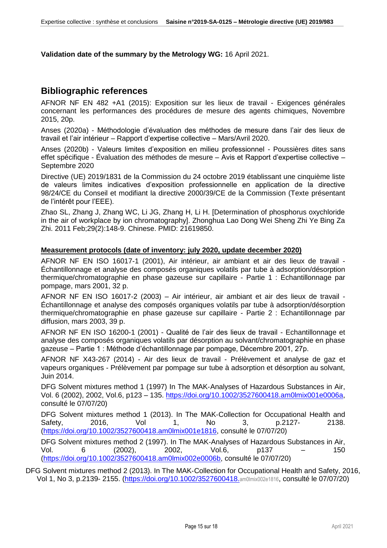**Validation date of the summary by the Metrology WG:** 16 April 2021.

## **Bibliographic references**

AFNOR NF EN 482 +A1 (2015): Exposition sur les lieux de travail - Exigences générales concernant les performances des procédures de mesure des agents chimiques, Novembre 2015, 20p.

Anses (2020a) - Méthodologie d'évaluation des méthodes de mesure dans l'air des lieux de travail et l'air intérieur – Rapport d'expertise collective – Mars/Avril 2020.

Anses (2020b) - Valeurs limites d'exposition en milieu professionnel - Poussières dites sans effet spécifique - Évaluation des méthodes de mesure – Avis et Rapport d'expertise collective – Septembre 2020

Directive (UE) 2019/1831 de la Commission du 24 octobre 2019 établissant une cinquième liste de valeurs limites indicatives d'exposition professionnelle en application de la directive 98/24/CE du Conseil et modifiant la directive 2000/39/CE de la Commission (Texte présentant de l'intérêt pour l'EEE).

Zhao SL, Zhang J, Zhang WC, Li JG, Zhang H, Li H. [Determination of phosphorus oxychloride in the air of workplace by ion chromatography]. Zhonghua Lao Dong Wei Sheng Zhi Ye Bing Za Zhi. 2011 Feb;29(2):148-9. Chinese. PMID: 21619850.

### **Measurement protocols (date of inventory: july 2020, update december 2020)**

AFNOR NF EN ISO 16017-1 (2001), Air intérieur, air ambiant et air des lieux de travail - Échantillonnage et analyse des composés organiques volatils par tube à adsorption/désorption thermique/chromatographie en phase gazeuse sur capillaire - Partie 1 : Echantillonnage par pompage, mars 2001, 32 p.

AFNOR NF EN ISO 16017-2 (2003) – Air intérieur, air ambiant et air des lieux de travail - Échantillonnage et analyse des composés organiques volatils par tube à adsorption/désorption thermique/chromatographie en phase gazeuse sur capillaire - Partie 2 : Echantillonnage par diffusion, mars 2003, 39 p.

AFNOR NF EN ISO 16200-1 (2001) - Qualité de l'air des lieux de travail - Echantillonnage et analyse des composés organiques volatils par désorption au solvant/chromatographie en phase gazeuse – Partie 1 : Méthode d'échantillonnage par pompage, Décembre 2001, 27p.

AFNOR NF X43-267 (2014) - Air des lieux de travail - Prélèvement et analyse de gaz et vapeurs organiques - Prélèvement par pompage sur tube à adsorption et désorption au solvant, Juin 2014.

DFG Solvent mixtures method 1 (1997) In The MAK‐Analyses of Hazardous Substances in Air, Vol. 6 (2002), 2002, Vol.6, p123 – 135. https://doi.org/10.1002/3527600418.am0lmix001e0006a, consulté le 07/07/20)

DFG Solvent mixtures method 1 (2013). In The MAK‐Collection for Occupational Health and Safety, 2016, Vol 1, No 3, p.2127- 2138. (https://doi.org/10.1002/3527600418.am0lmix001e1816, consulté le 07/07/20)

DFG Solvent mixtures method 2 (1997). In The MAK‐Analyses of Hazardous Substances in Air, Vol. 6 (2002), 2002, Vol.6, p137 – 150 (https://doi.org/10.1002/3527600418.am0lmix002e0006b, consulté le 07/07/20)

DFG Solvent mixtures method 2 (2013). In The MAK‐Collection for Occupational Health and Safety, 2016, Vol 1, No 3, p.2139- 2155. (https://doi.org/10.1002/3527600418.am0lmix002e1816, consulté le 07/07/20)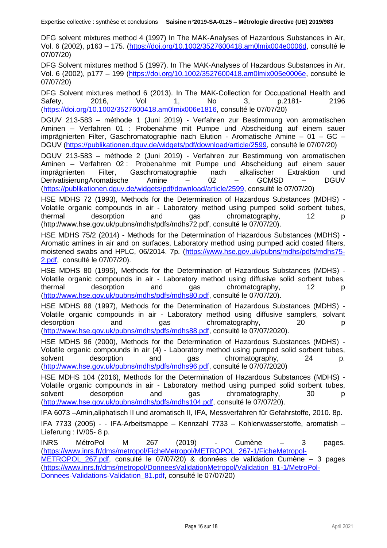DFG solvent mixtures method 4 (1997) In The MAK‐Analyses of Hazardous Substances in Air, Vol. 6 (2002), p163 – 175. (https://doi.org/10.1002/3527600418.am0lmix004e0006d, consulté le 07/07/20)

DFG Solvent mixtures method 5 (1997). In The MAK‐Analyses of Hazardous Substances in Air, Vol. 6 (2002), p177 – 199 (https://doi.org/10.1002/3527600418.am0lmix005e0006e, consulté le 07/07/20)

DFG Solvent mixtures method 6 (2013). In The MAK-Collection for Occupational Health and Safety, 2016, Vol 1, No 3, p.2181- 2196 (https://doi.org/10.1002/3527600418.am0lmix006e1816, consulté le 07/07/20)

DGUV 213-583 – méthode 1 (Juni 2019) - Verfahren zur Bestimmung von aromatischen Aminen – Verfahren 01 : Probenahme mit Pumpe und Abscheidung auf einem sauer imprägnierten Filter, Gaschromatographie nach Elution - Aromatische Amine – 01 – GC – DGUV (https://publikationen.dguv.de/widgets/pdf/download/article/2599, consulté le 07/07/20)

DGUV 213-583 – méthode 2 (Juni 2019) - Verfahren zur Bestimmung von aromatischen Aminen – Verfahren 02 : Probenahme mit Pumpe und Abscheidung auf einem sauer imprägnierten Filter, Gaschromatographie nach alkalischer Extraktion und DerivatisierungAromatische Amine – 02 – GCMSD – DGUV (https://publikationen.dguv.de/widgets/pdf/download/article/2599, consulté le 07/07/20)

HSE MDHS 72 (1993), Methods for the Determination of Hazardous Substances (MDHS) - Volatile organic compounds in air - Laboratory method using pumped solid sorbent tubes, thermal desorption and gas chromatography, 12 p (http://www.hse.gov.uk/pubns/mdhs/pdfs/mdhs72.pdf, consulté le 07/07/20).

HSE MDHS 75/2 (2014) - Methods for the Determination of Hazardous Substances (MDHS) - Aromatic amines in air and on surfaces, Laboratory method using pumped acid coated filters, moistened swabs and HPLC, 06/2014. 7p. (https://www.hse.gov.uk/pubns/mdhs/pdfs/mdhs75- 2.pdf, consulté le 07/07/20).

HSE MDHS 80 (1995), Methods for the Determination of Hazardous Substances (MDHS) - Volatile organic compounds in air - Laboratory method using diffusive solid sorbent tubes, thermal desorption and gas chromatography, 12 p (http://www.hse.gov.uk/pubns/mdhs/pdfs/mdhs80.pdf, consulté le 07/07/20).

HSE MDHS 88 (1997), Methods for the Determination of Hazardous Substances (MDHS) - Volatile organic compounds in air - Laboratory method using diffusive samplers, solvant desorption and gas chromatography, 20 p (http://www.hse.gov.uk/pubns/mdhs/pdfs/mdhs88.pdf, consulté le 07/07/2020).

HSE MDHS 96 (2000), Methods for the Determination of Hazardous Substances (MDHS) - Volatile organic compounds in air (4) - Laboratory method using pumped solid sorbent tubes, solvent desorption and gas chromatography, 24 p. (http://www.hse.gov.uk/pubns/mdhs/pdfs/mdhs96.pdf, consulté le 07/07/2020)

HSE MDHS 104 (2016), Methods for the Determination of Hazardous Substances (MDHS) - Volatile organic compounds in air - Laboratory method using pumped solid sorbent tubes, solvent desorption and gas chromatography, 30 p (http://www.hse.gov.uk/pubns/mdhs/pdfs/mdhs104.pdf, consulté le 07/07/20).

IFA 6073 –Amin,aliphatisch II und aromatisch II, IFA, Messverfahren für Gefahrstoffe, 2010. 8p.

IFA 7733 (2005) - - IFA-Arbeitsmappe – Kennzahl 7733 – Kohlenwasserstoffe, aromatish – Lieferung : IV/05- 8 p.

INRS MétroPol M 267 (2019) - Cumène – 3 pages. (https://www.inrs.fr/dms/metropol/FicheMetropol/METROPOL\_267-1/FicheMetropol-METROPOL 267.pdf, consulté le 07/07/20) & données de validation Cumène – 3 pages (https://www.inrs.fr/dms/metropol/DonneesValidationMetropol/Validation\_81-1/MetroPol-

Donnees-Validations-Validation\_81.pdf, consulté le 07/07/20)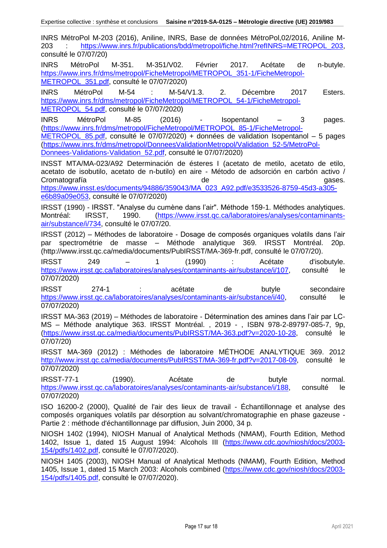INRS MétroPol M-203 (2016), Aniline, INRS, Base de données MétroPol,02/2016, Aniline M-203 : https://www.inrs.fr/publications/bdd/metropol/fiche.html?refINRS=METROPOL\_203, consulté le 07/07/20)

INRS MétroPol M-351. M-351/V02. Février 2017. Acétate de n-butyle. https://www.inrs.fr/dms/metropol/FicheMetropol/METROPOL\_351-1/FicheMetropol-METROPOL\_351.pdf, consulté le 07/07/2020)

INRS MétroPol M-54 : M-54/V1.3. 2. Décembre 2017 Esters. https://www.inrs.fr/dms/metropol/FicheMetropol/METROPOL\_54-1/FicheMetropol-METROPOL\_54.pdf, consulté le 07/07/2020)

INRS MétroPol M-85 (2016) - Isopentanol – 3 pages. (https://www.inrs.fr/dms/metropol/FicheMetropol/METROPOL\_85-1/FicheMetropol-METROPOL 85.pdf, consulté le 07/07/2020) + données de validation Isopentanol – 5 pages (https://www.inrs.fr/dms/metropol/DonneesValidationMetropol/Validation\_52-5/MetroPol-

Donnees-Validations-Validation\_52.pdf, consulté le 07/07/2020)

INSST MTA/MA-023/A92 Determinación de ésteres I (acetato de metilo, acetato de etilo, acetato de isobutilo, acetato de n-butilo) en aire - Método de adsorción en carbón activo / Cromatografía de gases. Cromatografía de gases de gases de gases de gases de gases de gases de gases de gases. https://www.insst.es/documents/94886/359043/MA\_023\_A92.pdf/e3533526-8759-45d3-a305-

e6b89a09e053, consulté le 07/07/2020)

IRSST (1990) - IRSST. "Analyse du cumène dans l'air". Méthode 159-1. Méthodes analytiques. Montréal: IRSST, 1990. (https://www.irsst.qc.ca/laboratoires/analyses/contaminantsair/substance/i/734, consulté le 07/07/20.

IRSST (2012) – Méthodes de laboratoire - Dosage de composés organiques volatils dans l'air par spectrométrie de masse – Méthode analytique 369. IRSST Montréal. 20p. (http://www.irsst.qc.ca/media/documents/PubIRSST/MA-369-fr.pdf, consulté le 07/07/20).

IRSST 249 – 1 (1990) : Acétate d'isobutyle. https://www.irsst.qc.ca/laboratoires/analyses/contaminants-air/substance/i/107, consulté le 07/07/2020)

IRSST 274-1 : acétate de butyle secondaire https://www.irsst.qc.ca/laboratoires/analyses/contaminants-air/substance/i/40, consulté le 07/07/2020)

IRSST MA-363 (2019) – Méthodes de laboratoire - Détermination des amines dans l'air par LC-MS – Méthode analytique 363. IRSST Montréal. , 2019 - , ISBN 978-2-89797-085-7, 9p, (https://www.irsst.qc.ca/media/documents/PubIRSST/MA-363.pdf?v=2020-10-28, consulté le 07/07/20)

IRSST MA-369 (2012) : Méthodes de laboratoire MÉTHODE ANALYTIQUE 369. 2012 http://www.irsst.qc.ca/media/documents/PubIRSST/MA-369-fr.pdf?v=2017-08-09, consulté le 07/07/2020)

IRSST-77-1 (1990). Acétate de butyle normal. https://www.irsst.gc.ca/laboratoires/analyses/contaminants-air/substance/i/188, consulté le 07/07/2020)

ISO 16200-2 (2000), Qualité de l'air des lieux de travail - Échantillonnage et analyse des composés organiques volatils par désorption au solvant/chromatographie en phase gazeuse - Partie 2 : méthode d'échantillonnage par diffusion, Juin 2000, 34 p.

NIOSH 1402 (1994), NIOSH Manual of Analytical Methods (NMAM), Fourth Edition, Method 1402, Issue 1, dated 15 August 1994: Alcohols III (https://www.cdc.gov/niosh/docs/2003- 154/pdfs/1402.pdf, consulté le 07/07/2020).

NIOSH 1405 (2003), NIOSH Manual of Analytical Methods (NMAM), Fourth Edition, Method 1405, Issue 1, dated 15 March 2003: Alcohols combined (https://www.cdc.gov/niosh/docs/2003- 154/pdfs/1405.pdf, consulté le 07/07/2020).